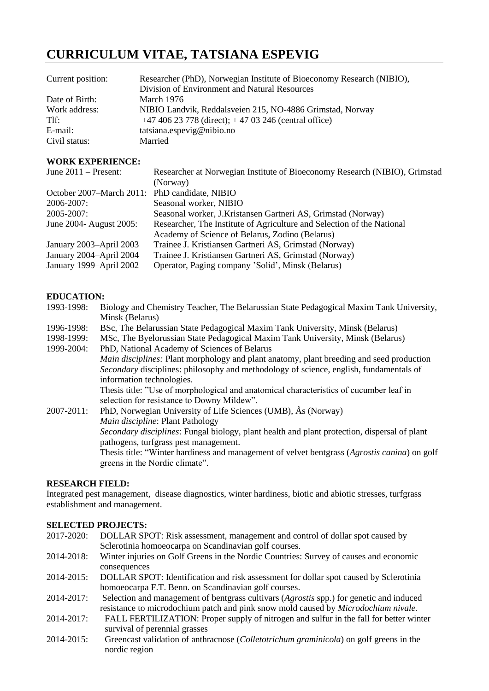# **CURRICULUM VITAE, TATSIANA ESPEVIG**

| Current position: | Researcher (PhD), Norwegian Institute of Bioeconomy Research (NIBIO),<br>Division of Environment and Natural Resources |
|-------------------|------------------------------------------------------------------------------------------------------------------------|
| Date of Birth:    | March 1976                                                                                                             |
| Work address:     | NIBIO Landvik, Reddalsveien 215, NO-4886 Grimstad, Norway                                                              |
| Tlf:              | $+4740623778$ (direct); $+4703246$ (central office)                                                                    |
| E-mail:           | tatsiana.espevig@nibio.no                                                                                              |
| Civil status:     | Married                                                                                                                |

## **WORK EXPERIENCE:**

| June $2011$ – Present:                        | Researcher at Norwegian Institute of Bioeconomy Research (NIBIO), Grimstad |
|-----------------------------------------------|----------------------------------------------------------------------------|
|                                               | (Norway)                                                                   |
| October 2007–March 2011: PhD candidate, NIBIO |                                                                            |
| 2006-2007:                                    | Seasonal worker, NIBIO                                                     |
| $2005 - 2007$ :                               | Seasonal worker, J.Kristansen Gartneri AS, Grimstad (Norway)               |
| June 2004- August 2005:                       | Researcher, The Institute of Agriculture and Selection of the National     |
|                                               | Academy of Science of Belarus, Zodino (Belarus)                            |
| January 2003–April 2003                       | Trainee J. Kristiansen Gartneri AS, Grimstad (Norway)                      |
| January 2004-April 2004                       | Trainee J. Kristiansen Gartneri AS, Grimstad (Norway)                      |
| January 1999–April 2002                       | Operator, Paging company 'Solid', Minsk (Belarus)                          |
|                                               |                                                                            |

## **EDUCATION:**

| 1993-1998: | Biology and Chemistry Teacher, The Belarussian State Pedagogical Maxim Tank University, |
|------------|-----------------------------------------------------------------------------------------|
|            | Minsk (Belarus)                                                                         |
| 1996-1998: | BSc, The Belarussian State Pedagogical Maxim Tank University, Minsk (Belarus)           |
| 1998-1999: | MSc, The Byelorussian State Pedagogical Maxim Tank University, Minsk (Belarus)          |

1999-2004: PhD, National Academy of Sciences of Belarus *Main disciplines:* Plant morphology and plant anatomy, plant breeding and seed production *Secondary* disciplines: philosophy and methodology of science, english, fundamentals of information technologies. Thesis title: "Use of morphological and anatomical characteristics of cucumber leaf in selection for resistance to Downy Mildew". 2007-2011: PhD, Norwegian University of Life Sciences (UMB), Ås (Norway) *Main discipline*: Plant Pathology *Secondary disciplines*: Fungal biology, plant health and plant protection, dispersal of plant pathogens, turfgrass pest management. Thesis title: "Winter hardiness and management of velvet bentgrass (*Agrostis canina*) on golf

## **RESEARCH FIELD:**

Integrated pest management, disease diagnostics, winter hardiness, biotic and abiotic stresses, turfgrass establishment and management.

## **SELECTED PROJECTS:**

greens in the Nordic climate".

- 2017-2020: DOLLAR SPOT: Risk assessment, management and control of dollar spot caused by Sclerotinia homoeocarpa on Scandinavian golf courses.
- 2014-2018: Winter injuries on Golf Greens in the Nordic Countries: Survey of causes and economic consequences
- 2014-2015: DOLLAR SPOT: Identification and risk assessment for dollar spot caused by Sclerotinia homoeocarpa F.T. Benn. on Scandinavian golf courses.
- 2014-2017: Selection and management of bentgrass cultivars (*Agrostis* spp.) for genetic and induced resistance to microdochium patch and pink snow mold caused by *Microdochium nivale.*
- 2014-2017: FALL FERTILIZATION: Proper supply of nitrogen and sulfur in the fall for better winter survival of perennial grasses
- 2014-2015: Greencast validation of anthracnose (*Colletotrichum graminicola*) on golf greens in the nordic region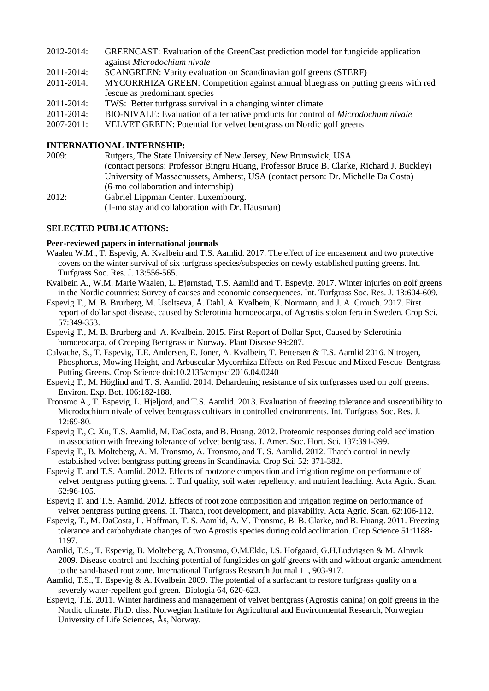| 2012-2014:      | GREENCAST: Evaluation of the GreenCast prediction model for fungicide application       |
|-----------------|-----------------------------------------------------------------------------------------|
|                 | against Microdochium nivale                                                             |
| 2011-2014:      | SCANGREEN: Varity evaluation on Scandinavian golf greens (STERF)                        |
| 2011-2014:      | MYCORRHIZA GREEN: Competition against annual bluegrass on putting greens with red       |
|                 | fescue as predominant species                                                           |
| 2011-2014:      | TWS: Better turfgrass survival in a changing winter climate                             |
| 2011-2014:      | BIO-NIVALE: Evaluation of alternative products for control of <i>Microdochum nivale</i> |
| $2007 - 2011$ : | VELVET GREEN: Potential for velvet bentgrass on Nordic golf greens                      |

### **INTERNATIONAL INTERNSHIP:**

| 2009: | Rutgers, The State University of New Jersey, New Brunswick, USA                          |
|-------|------------------------------------------------------------------------------------------|
|       | (contact persons: Professor Bingru Huang, Professor Bruce B. Clarke, Richard J. Buckley) |
|       | University of Massachussets, Amherst, USA (contact person: Dr. Michelle Da Costa)        |
|       | (6-mo collaboration and internship)                                                      |
| 2012: | Gabriel Lippman Center, Luxembourg.                                                      |
|       | (1-mo stay and collaboration with Dr. Hausman)                                           |

#### **SELECTED PUBLICATIONS:**

#### **Peer-reviewed papers in international journals**

- Waalen W.M., T. Espevig, A. Kvalbein and T.S. Aamlid. 2017. The effect of ice encasement and two protective covers on the winter survival of six turfgrass species/subspecies on newly established putting greens. Int. Turfgrass Soc. Res. J. 13:556-565.
- Kvalbein A., W.M. Marie Waalen, L. Bjørnstad, T.S. Aamlid and T. Espevig. 2017. Winter injuries on golf greens in the Nordic countries: Survey of causes and economic consequences. Int. Turfgrass Soc. Res. J. 13:604-609.
- Espevig T., M. B. Brurberg, M. Usoltseva, Å. Dahl, A. Kvalbein, K. Normann, and J. A. Crouch. 2017. First report of dollar spot disease, caused by Sclerotinia homoeocarpa, of Agrostis stolonifera in Sweden. Crop Sci. 57:349-353.
- Espevig T., M. B. Brurberg and A. Kvalbein. 2015. First Report of Dollar Spot, Caused by Sclerotinia homoeocarpa, of Creeping Bentgrass in Norway. Plant Disease 99:287.
- Calvache, S., T. Espevig, T.E. Andersen, E. Joner, A. Kvalbein, T. Pettersen & T.S. Aamlid 2016. Nitrogen, Phosphorus, Mowing Height, and Arbuscular Mycorrhiza Effects on Red Fescue and Mixed Fescue–Bentgrass Putting Greens. Crop Science doi:10.2135/cropsci2016.04.0240
- Espevig T., M. Höglind and T. S. Aamlid. 2014. Dehardening resistance of six turfgrasses used on golf greens. Environ. Exp. Bot. 106:182-188.
- Tronsmo A., T. Espevig, L. Hjeljord, and T.S. Aamlid. 2013. Evaluation of freezing tolerance and susceptibility to Microdochium nivale of velvet bentgrass cultivars in controlled environments. Int. Turfgrass Soc. Res. J. 12:69-80*.*
- Espevig T., C. Xu, T.S. Aamlid, M. DaCosta, and B. Huang. 2012. Proteomic responses during cold acclimation in association with freezing tolerance of velvet bentgrass. J. Amer. Soc. Hort. Sci. 137:391-399.
- Espevig T., B. Molteberg, A. M. Tronsmo, A. Tronsmo, and T. S. Aamlid. 2012. Thatch control in newly established velvet bentgrass putting greens in Scandinavia. Crop Sci. 52: 371-382.
- Espevig T. and T.S. Aamlid. 2012. Effects of rootzone composition and irrigation regime on performance of velvet bentgrass putting greens. I. Turf quality, soil water repellency, and nutrient leaching. Acta Agric. Scan. 62:96-105.
- Espevig T. and T.S. Aamlid. 2012. Effects of root zone composition and irrigation regime on performance of velvet bentgrass putting greens. II. Thatch, root development, and playability. Acta Agric. Scan. 62:106-112.
- Espevig, T., M. DaCosta, L. Hoffman, T. S. Aamlid, A. M. Tronsmo, B. B. Clarke, and B. Huang. 2011. Freezing tolerance and carbohydrate changes of two Agrostis species during cold acclimation. Crop Science 51:1188- 1197.
- Aamlid, T.S., T. Espevig, B. Molteberg, A.Tronsmo, O.M.Eklo, I.S. Hofgaard, G.H.Ludvigsen & M. Almvik 2009. Disease control and leaching potential of fungicides on golf greens with and without organic amendment to the sand-based root zone. International Turfgrass Research Journal 11, 903-917.
- Aamlid, T.S., T. Espevig & A. Kvalbein 2009. The potential of a surfactant to restore turfgrass quality on a severely water-repellent golf green. Biologia 64, 620-623.
- Espevig, T.E. 2011. Winter hardiness and management of velvet bentgrass (Agrostis canina) on golf greens in the Nordic climate. Ph.D. diss. Norwegian Institute for Agricultural and Environmental Research, Norwegian University of Life Sciences, Ås, Norway.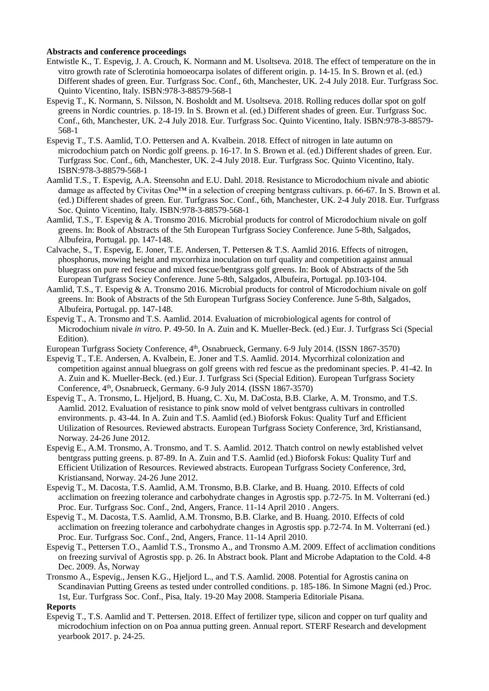## **Abstracts and conference proceedings**

- Entwistle K., T. Espevig, J. A. Crouch, K. Normann and M. Usoltseva. 2018. The effect of temperature on the in vitro growth rate of Sclerotinia homoeocarpa isolates of different origin. p. 14-15. In S. Brown et al. (ed.) Different shades of green. Eur. Turfgrass Soc. Conf., 6th, Manchester, UK. 2-4 July 2018. Eur. Turfgrass Soc. Quinto Vicentino, Italy. ISBN:978-3-88579-568-1
- Espevig T., K. Normann, S. Nilsson, N. Bosholdt and M. Usoltseva. 2018. Rolling reduces dollar spot on golf greens in Nordic countries. p. 18-19. In S. Brown et al. (ed.) Different shades of green. Eur. Turfgrass Soc. Conf., 6th, Manchester, UK. 2-4 July 2018. Eur. Turfgrass Soc. Quinto Vicentino, Italy. ISBN:978-3-88579- 568-1
- Espevig T., T.S. Aamlid, T.O. Pettersen and A. Kvalbein. 2018. Effect of nitrogen in late autumn on microdochium patch on Nordic golf greens. p. 16-17. In S. Brown et al. (ed.) Different shades of green. Eur. Turfgrass Soc. Conf., 6th, Manchester, UK. 2-4 July 2018. Eur. Turfgrass Soc. Quinto Vicentino, Italy. ISBN:978-3-88579-568-1
- Aamlid T.S., T. Espevig, A.A. Steensohn and E.U. Dahl. 2018. Resistance to Microdochium nivale and abiotic damage as affected by Civitas One™ in a selection of creeping bentgrass cultivars. p. 66-67. In S. Brown et al. (ed.) Different shades of green. Eur. Turfgrass Soc. Conf., 6th, Manchester, UK. 2-4 July 2018. Eur. Turfgrass Soc. Quinto Vicentino, Italy. ISBN:978-3-88579-568-1
- Aamlid, T.S., T. Espevig & A. Tronsmo 2016. Microbial products for control of Microdochium nivale on golf greens. In: Book of Abstracts of the 5th European Turfgrass Sociey Conference. June 5-8th, Salgados, Albufeira, Portugal. pp. 147-148.
- Calvache, S., T. Espevig, E. Joner, T.E. Andersen, T. Pettersen & T.S. Aamlid 2016. Effects of nitrogen, phosphorus, mowing height and mycorrhiza inoculation on turf quality and competition against annual bluegrass on pure red fescue and mixed fescue/bentgrass golf greens. In: Book of Abstracts of the 5th European Turfgrass Sociey Conference. June 5-8th, Salgados, Albufeira, Portugal. pp.103-104.
- Aamlid, T.S., T. Espevig & A. Tronsmo 2016. Microbial products for control of Microdochium nivale on golf greens. In: Book of Abstracts of the 5th European Turfgrass Sociey Conference. June 5-8th, Salgados, Albufeira, Portugal. pp. 147-148.
- Espevig T., A. Tronsmo and T.S. Aamlid. 2014. Evaluation of microbiological agents for control of Microdochium nivale *in vitro.* P. 49-50. In A. Zuin and K. Mueller-Beck. (ed.) Eur. J. Turfgrass Sci (Special Edition).
- European Turfgrass Society Conference, 4<sup>th</sup>, Osnabrueck, Germany. 6-9 July 2014. (ISSN 1867-3570)
- Espevig T., T.E. Andersen, A. Kvalbein, E. Joner and T.S. Aamlid. 2014. Mycorrhizal colonization and competition against annual bluegrass on golf greens with red fescue as the predominant species. P. 41-42. In A. Zuin and K. Mueller-Beck. (ed.) Eur. J. Turfgrass Sci (Special Edition). European Turfgrass Society Conference, 4<sup>th</sup>, Osnabrueck, Germany. 6-9 July 2014. (ISSN 1867-3570)
- Espevig T., A. Tronsmo, L. Hjeljord, B. Huang, C. Xu, M. DaCosta, B.B. Clarke, A. M. Tronsmo, and T.S. Aamlid. 2012. Evaluation of resistance to pink snow mold of velvet bentgrass cultivars in controlled environments. p. 43-44. In A. Zuin and T.S. Aamlid (ed.) Bioforsk Fokus: Quality Turf and Efficient Utilization of Resources. Reviewed abstracts. European Turfgrass Society Conference, 3rd, Kristiansand, Norway. 24-26 June 2012.
- Espevig E., A.M. Tronsmo, A. Tronsmo, and T. S. Aamlid. 2012. Thatch control on newly established velvet bentgrass putting greens. p. 87-89. In A. Zuin and T.S. Aamlid (ed.) Bioforsk Fokus: Quality Turf and Efficient Utilization of Resources. Reviewed abstracts. European Turfgrass Society Conference, 3rd, Kristiansand, Norway. 24-26 June 2012.
- Espevig T., M. Dacosta, T.S. Aamlid, A.M. Tronsmo, B.B. Clarke, and B. Huang. 2010. Effects of cold acclimation on freezing tolerance and carbohydrate changes in Agrostis spp. p.72-75. In M. Volterrani (ed.) Proc. Eur. Turfgrass Soc. Conf., 2nd, Angers, France. 11-14 April 2010 . Angers.
- Espevig T., M. Dacosta, T.S. Aamlid, A.M. Tronsmo, B.B. Clarke, and B. Huang. 2010. Effects of cold acclimation on freezing tolerance and carbohydrate changes in Agrostis spp. p.72-74. In M. Volterrani (ed.) Proc. Eur. Turfgrass Soc. Conf., 2nd, Angers, France. 11-14 April 2010.
- Espevig T., Pettersen T.O., Aamlid T.S., Tronsmo A., and Tronsmo A.M. 2009. Effect of acclimation conditions on freezing survival of Agrostis spp. p. 26. In Abstract book. Plant and Microbe Adaptation to the Cold. 4-8 Dec. 2009. Ås, Norway
- Tronsmo A., Espevig., Jensen K.G., Hjeljord L., and T.S. Aamlid. 2008. Potential for Agrostis canina on Scandinavian Putting Greens as tested under controlled conditions. p. 185-186. In Simone Magni (ed.) Proc. 1st, Eur. Turfgrass Soc. Conf., Pisa, Italy. 19-20 May 2008. Stamperia Editoriale Pisana.

#### **Reports**

Espevig T., T.S. Aamlid and T. Pettersen. 2018. Effect of fertilizer type, silicon and copper on turf quality and microdochium infection on on Poa annua putting green. Annual report. STERF Research and development yearbook 2017. p. 24-25.